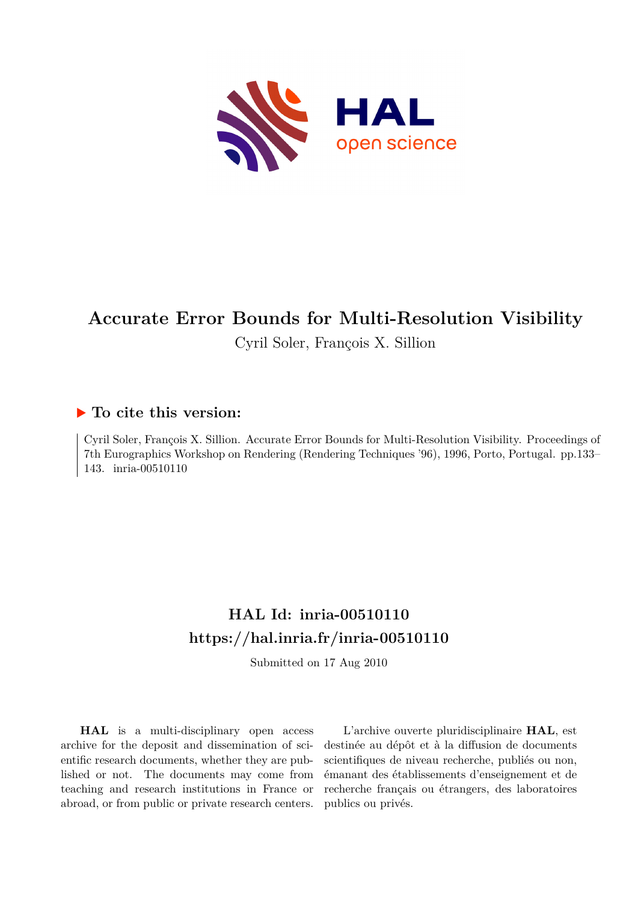

# **Accurate Error Bounds for Multi-Resolution Visibility**

Cyril Soler, François X. Sillion

# **To cite this version:**

Cyril Soler, François X. Sillion. Accurate Error Bounds for Multi-Resolution Visibility. Proceedings of 7th Eurographics Workshop on Rendering (Rendering Techniques '96), 1996, Porto, Portugal. pp.133– 143. inria-00510110

# **HAL Id: inria-00510110 <https://hal.inria.fr/inria-00510110>**

Submitted on 17 Aug 2010

**HAL** is a multi-disciplinary open access archive for the deposit and dissemination of scientific research documents, whether they are published or not. The documents may come from teaching and research institutions in France or abroad, or from public or private research centers.

L'archive ouverte pluridisciplinaire **HAL**, est destinée au dépôt et à la diffusion de documents scientifiques de niveau recherche, publiés ou non, émanant des établissements d'enseignement et de recherche français ou étrangers, des laboratoires publics ou privés.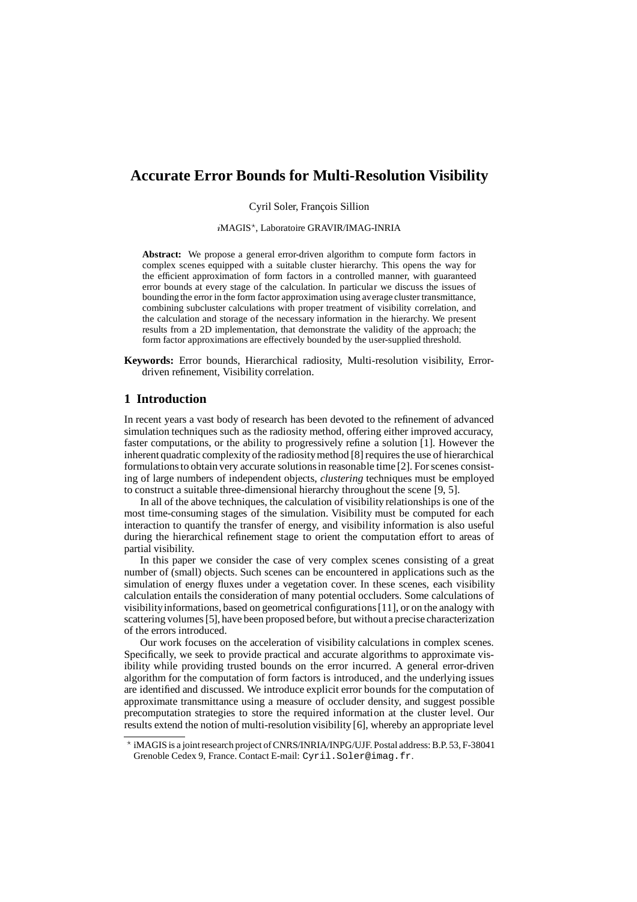# **Accurate Error Bounds for Multi-Resolution Visibility**

Cyril Soler, François Sillion

iMAGIS? , Laboratoire GRAVIR/IMAG-INRIA

**Abstract:** We propose a general error-driven algorithm to compute form factors in complex scenes equipped with a suitable cluster hierarchy. This opens the way for the efficient approximation of form factors in a controlled manner, with guaranteed error bounds at every stage of the calculation. In particular we discuss the issues of bounding the error in the form factor approximation using average cluster transmittance, combining subcluster calculations with proper treatment of visibility correlation, and the calculation and storage of the necessary information in the hierarchy. We present results from a 2D implementation, that demonstrate the validity of the approach; the form factor approximations are effectively bounded by the user-supplied threshold.

**Keywords:** Error bounds, Hierarchical radiosity, Multi-resolution visibility, Errordriven refinement, Visibility correlation.

#### **1 Introduction**

In recent years a vast body of research has been devoted to the refinement of advanced simulation techniques such as the radiosity method, offering either improved accuracy, faster computations, or the ability to progressively refine a solution [1]. However the inherent quadratic complexity of the radiositymethod [8] requires the use of hierarchical formulations to obtain very accurate solutionsin reasonable time [2]. For scenes consisting of large numbers of independent objects, *clustering* techniques must be employed to construct a suitable three-dimensional hierarchy throughout the scene [9, 5].

In all of the above techniques, the calculation of visibility relationships is one of the most time-consuming stages of the simulation. Visibility must be computed for each interaction to quantify the transfer of energy, and visibility information is also useful during the hierarchical refinement stage to orient the computation effort to areas of partial visibility.

In this paper we consider the case of very complex scenes consisting of a great number of (small) objects. Such scenes can be encountered in applications such as the simulation of energy fluxes under a vegetation cover. In these scenes, each visibility calculation entails the consideration of many potential occluders. Some calculations of visibilityinformations, based on geometrical configurations [11], or on the analogy with scattering volumes [5], have been proposed before, but without a precise characterization of the errors introduced.

Our work focuses on the acceleration of visibility calculations in complex scenes. Specifically, we seek to provide practical and accurate algorithms to approximate visibility while providing trusted bounds on the error incurred. A general error-driven algorithm for the computation of form factors is introduced, and the underlying issues are identified and discussed. We introduce explicit error bounds for the computation of approximate transmittance using a measure of occluder density, and suggest possible precomputation strategies to store the required information at the cluster level. Our results extend the notion of multi-resolution visibility [6], whereby an appropriate level

iMAGIS is a joint research project of CNRS/INRIA/INPG/UJF. Postal address: B.P. 53, F-38041 Grenoble Cedex 9, France. Contact E-mail: Cyril.Soler@imag.fr.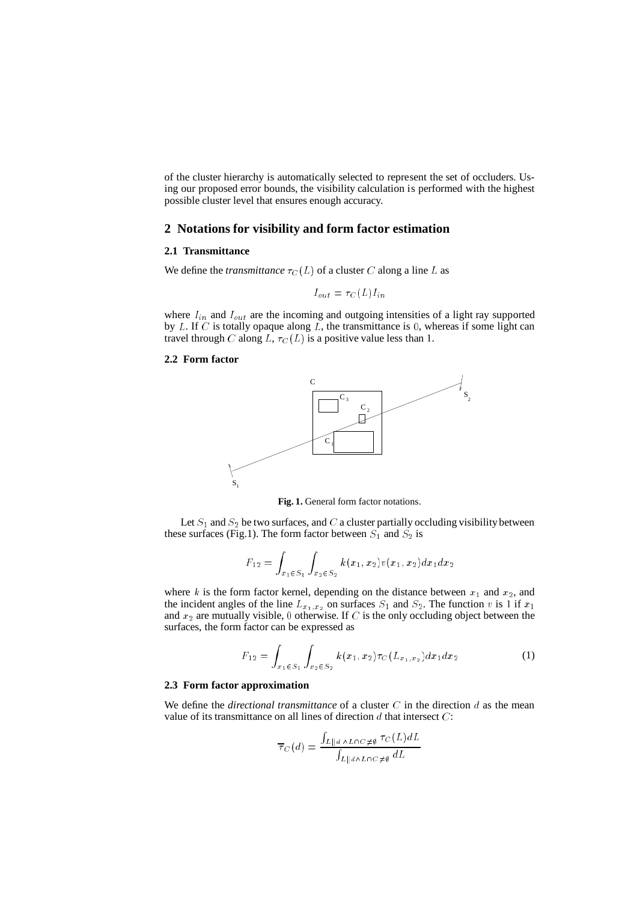of the cluster hierarchy is automatically selected to represent the set of occluders. Using our proposed error bounds, the visibility calculation is performed with the highest possible cluster level that ensures enough accuracy.

# **2 Notations for visibility and form factor estimation**

## **2.1 Transmittance**

We define the *transmittance*  $\tau_C(L)$  of a cluster C along a line L as

$$
I_{out} = \tau_C(L) I_{in}
$$

where  $I_{in}$  and  $I_{out}$  are the incoming and outgoing intensities of a light ray supported by L. If  $C$  is totally opaque along  $L$ , the transmittance is  $0$ , whereas if some light can travel through C along L,  $\tau_C(L)$  is a positive value less than 1.

## **2.2 Form factor**



**Fig. 1.** General form factor notations.

Let  $S_1$  and  $S_2$  be two surfaces, and C a cluster partially occluding visibility between these surfaces (Fig.1). The form factor between  $S_1$  and  $S_2$  is

$$
F_{12} = \int_{x_1 \in S_1} \int_{x_2 \in S_2} k(x_1, x_2) v(x_1, x_2) dx_1 dx_2
$$

where k is the form factor kernel, depending on the distance between  $x_1$  and  $x_2$ , and the incident angles of the line  $L_{x_1,x_2}$  on surfaces  $S_1$  and  $S_2$ . The function v is 1 if  $x_1$ and  $x_2$  are mutually visible, 0 otherwise. If C is the only occluding object between the surfaces, the form factor can be expressed as

$$
F_{12} = \int_{x_1 \in S_1} \int_{x_2 \in S_2} k(x_1, x_2) \tau_C(L_{x_1, x_2}) dx_1 dx_2 \tag{1}
$$

#### **2.3 Form factor approximation**

We define the *directional transmittance* of a cluster  $C$  in the direction  $d$  as the mean value of its transmittance on all lines of direction  $d$  that intersect  $C$ :

$$
\overline{\tau}_C(d) = \frac{\int_{L||d \wedge L \cap C \neq \emptyset} \tau_C(L) dL}{\int_{L||d \wedge L \cap C \neq \emptyset} dL}
$$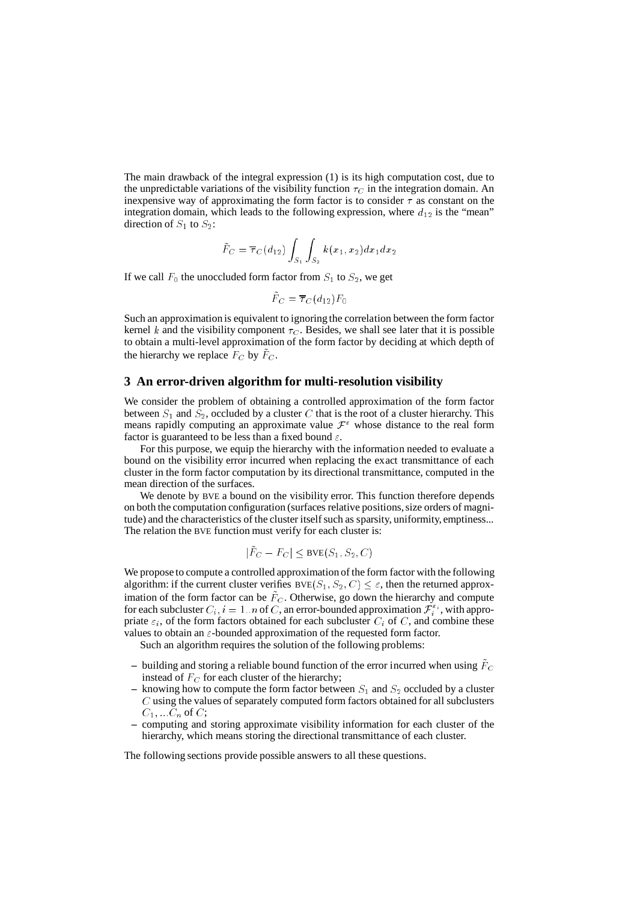The main drawback of the integral expression (1) is its high computation cost, due to the unpredictable variations of the visibility function  $\tau_C$  in the integration domain. An inexpensive way of approximating the form factor is to consider  $\tau$  as constant on the integration domain, which leads to the following expression, where  $d_{12}$  is the "mean" direction of  $S_1$  to  $S_2$ :

$$
\tilde{F}_C = \overline{\tau}_C(d_{12}) \int_{S_1} \int_{S_2} k(x_1, x_2) dx_1 dx_2
$$

If we call  $F_0$  the unoccluded form factor from  $S_1$  to  $S_2$ , we get

$$
\tilde{F}_C = \overline{\tau}_C(d_{12}) F_0
$$

Such an approximation is equivalent to ignoring the correlation between the form factor kernel k and the visibility component  $\tau_C$ . Besides, we shall see later that it is possible to obtain a multi-level approximation of the form factor by deciding at which depth of the hierarchy we replace  $F_C$  by  $F_C$ .

# **3 An error-driven algorithm for multi-resolution visibility**

We consider the problem of obtaining a controlled approximation of the form factor between  $S_1$  and  $S_2$ , occluded by a cluster C that is the root of a cluster hierarchy. This means rapidly computing an approximate value  $\mathcal{F}^{\varepsilon}$  whose distance to the real form factor is guaranteed to be less than a fixed bound  $\varepsilon$ .

For this purpose, we equip the hierarchy with the information needed to evaluate a bound on the visibility error incurred when replacing the exact transmittance of each cluster in the form factor computation by its directional transmittance, computed in the mean direction of the surfaces.

We denote by BVE a bound on the visibility error. This function therefore depends on both the computation configuration (surfaces relative positions, size orders of magnitude) and the characteristics of the cluster itself such as sparsity, uniformity, emptiness... The relation the BVE function must verify for each cluster is:

$$
|\tilde{F}_C - F_C| \leq \text{BVE}(S_1, S_2, C)
$$

We propose to compute a controlled approximation of the form factor with the following algorithm: if the current cluster verifies  $BVE(S_1, S_2, C) \leq \varepsilon$ , then the returned approximation of the form factor can be  $F_C$ . Otherwise, go down the hierarchy and compute for each subcluster  $C_i$ ,  $i = 1...n$  of  $C$ , an error-bounded approximation  $\mathcal{F}_i^{\varepsilon_i}$ , with appropriate  $\varepsilon_i$ , of the form factors obtained for each subcluster  $C_i$  of  $C$ , and combine these values to obtain an  $\varepsilon$ -bounded approximation of the requested form factor.

Such an algorithm requires the solution of the following problems:

- $-$  building and storing a reliable bound function of the error incurred when using  $F_C$ instead of  $F_C$  for each cluster of the hierarchy;
- knowing how to compute the form factor between  $S_1$  and  $S_2$  occluded by a cluster  $C$  using the values of separately computed form factors obtained for all subclusters  $C_1$ ,  $C_n$  of  $C$ ;
- **–** computing and storing approximate visibility information for each cluster of the hierarchy, which means storing the directional transmittance of each cluster.

The following sections provide possible answers to all these questions.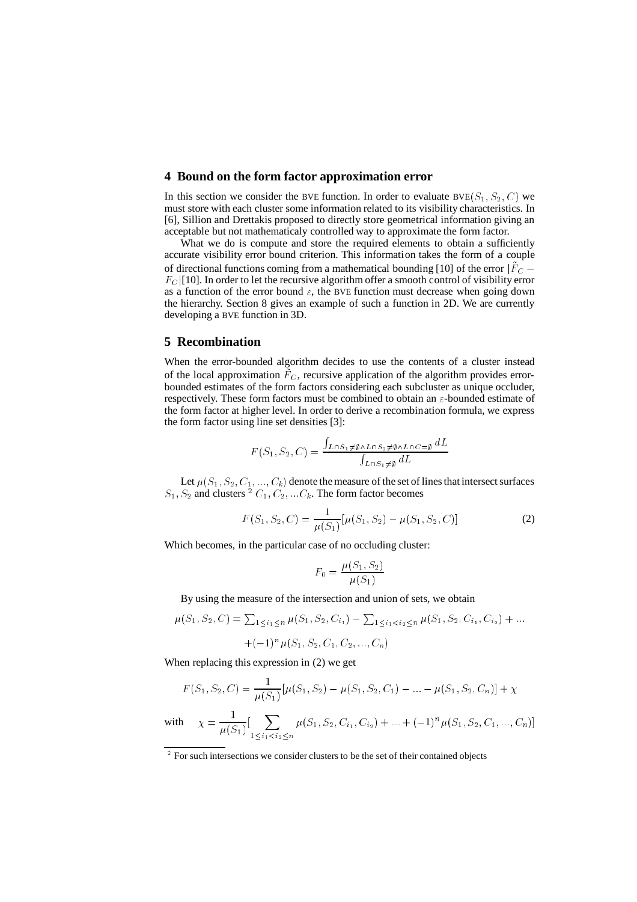#### **4 Bound on the form factor approximation error**

In this section we consider the BVE function. In order to evaluate BVE( $S_1, S_2, C$ ) we must store with each cluster some information related to its visibility characteristics. In [6], Sillion and Drettakis proposed to directly store geometrical information giving an acceptable but not mathematicaly controlled way to approximate the form factor.

What we do is compute and store the required elements to obtain a sufficiently accurate visibility error bound criterion. This information takes the form of a couple of directional functions coming from a mathematical bounding [10] of the error  $|F_C F_C$  [10]. In order to let the recursive algorithm offer a smooth control of visibility error as a function of the error bound  $\varepsilon$ , the BVE function must decrease when going down the hierarchy. Section 8 gives an example of such a function in 2D. We are currently developing a BVE function in 3D.

#### **5 Recombination**

When the error-bounded algorithm decides to use the contents of a cluster instead of the local approximation  $F_C$ , recursive application of the algorithm provides errorbounded estimates of the form factors considering each subcluster as unique occluder, respectively. These form factors must be combined to obtain an  $\varepsilon$ -bounded estimate of the form factor at higher level. In order to derive a recombination formula, we express the form factor using line set densities [3]:

$$
F(S_1, S_2, C) = \frac{\int_{L \cap S_1 \neq \emptyset \wedge L \cap S_2 \neq \emptyset \wedge L \cap C = \emptyset} dL}{\int_{L \cap S_1 \neq \emptyset} dL}
$$

Let  $\mu(S_1, S_2, C_1, ..., C_k)$  denote the measure of the set of lines that intersect surfaces  $S_1, S_2$  and clusters  ${}^2C_1, C_2, ...C_k$ . The form factor becomes

$$
F(S_1, S_2, C) = \frac{1}{\mu(S_1)} [\mu(S_1, S_2) - \mu(S_1, S_2, C)]
$$
\n(2)

Which becomes, in the particular case of no occluding cluster:

$$
F_0 = \frac{\mu(S_1, S_2)}{\mu(S_1)}
$$

By using the measure of the intersection and union of sets, we obtain

$$
\mu(S_1, S_2, C) = \sum_{1 \le i_1 \le n} \mu(S_1, S_2, C_{i_1}) - \sum_{1 \le i_1 < i_2 \le n} \mu(S_1, S_2, C_{i_1}, C_{i_2}) + \dots + (-1)^n \mu(S_1, S_2, C_1, C_2, \dots, C_n)
$$

When replacing this expression in (2) we get

1i1<i2n

 $\mathcal{L} \cap \mathcal{L} \cap \mathcal{L}$ 

$$
F(S_1, S_2, C) = \frac{1}{\mu(S_1)} [\mu(S_1, S_2) - \mu(S_1, S_2, C_1) - \dots - \mu(S_1, S_2, C_n)] + \chi
$$
  
th  $\chi = \frac{1}{\mu(S_1, S_2, C_3, C_4, C_4)} + \dots + (-1)^n \mu(S_1, S_2, C_1, \dots, C_n)$ 

 $\mu_{(S_1, S_2, U_{i_1}, U_{i_2}) + ... + (-1)^n \mu_{(S_1, S_2, U_1, ..., U_n)}$ 

with 
$$
\chi = \frac{1}{u(S)}
$$

 $2^2$  For such intersections we consider clusters to be the set of their contained objects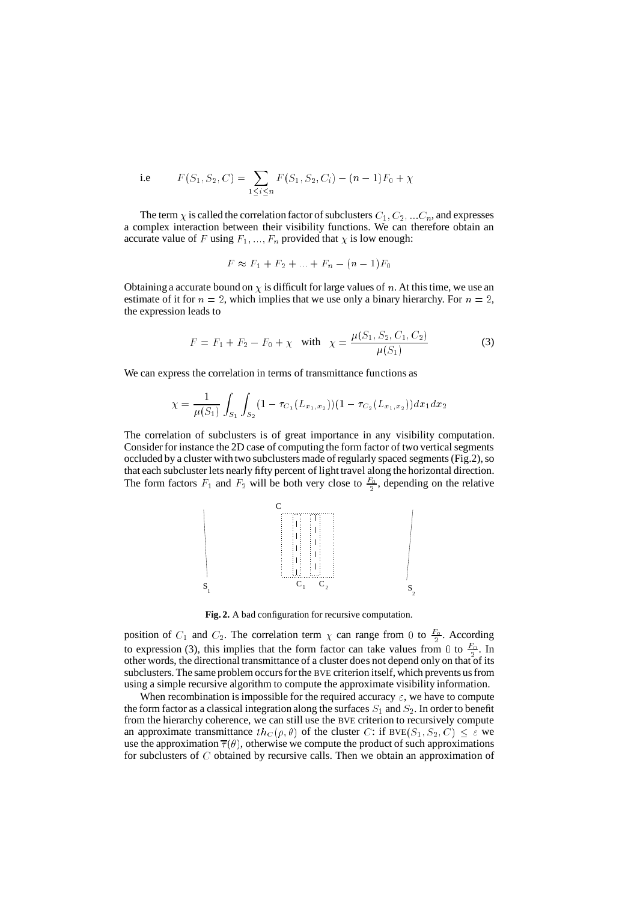i.e 
$$
F(S_1, S_2, C) = \sum_{1 \leq i \leq n} F(S_1, S_2, C_i) - (n - 1)F_0 + \chi
$$

The term  $\chi$  is called the correlation factor of subclusters  $C_1, C_2, ...C_n$ , and expresses a complex interaction between their visibility functions. We can therefore obtain an accurate value of F using  $F_1, ..., F_n$  provided that  $\chi$  is low enough:

$$
F \approx F_1 + F_2 + \ldots + F_n - (n-1)F_0
$$

Obtaining a accurate bound on  $\chi$  is difficult for large values of n. At this time, we use an estimate of it for  $n = 2$ , which implies that we use only a binary hierarchy. For  $n = 2$ , the expression leads to

$$
F = F_1 + F_2 - F_0 + \chi \quad \text{with} \quad \chi = \frac{\mu(S_1, S_2, C_1, C_2)}{\mu(S_1)} \tag{3}
$$

We can express the correlation in terms of transmittance functions as

$$
\chi = \frac{1}{\mu(S_1)} \int_{S_1} \int_{S_2} (1 - \tau_{C_1}(L_{x_1, x_2})) (1 - \tau_{C_2}(L_{x_1, x_2})) dx_1 dx_2
$$

The correlation of subclusters is of great importance in any visibility computation. Consider for instance the 2D case of computing the form factor of two vertical segments occluded by a cluster with two subclusters made of regularly spaced segments (Fig.2), so that each subcluster lets nearly fifty percent of light travel along the horizontal direction. The form factors  $F_1$  and  $F_2$  will be both very close to  $\frac{F_0}{2}$ , depending on the relative



**Fig. 2.** A bad configuration for recursive computation.

position of  $C_1$  and  $C_2$ . The correlation term  $\chi$  can range from 0 to  $\frac{F_0}{2}$ . According to expression (3), this implies that the form factor can take values from 0 to  $\frac{F_0}{r}$ . In <sup>2</sup> other words, the directional transmittance of a cluster does not depend only on that of its subclusters. The same problem occurs for the BVE criterion itself, which prevents us from using a simple recursive algorithm to compute the approximate visibility information.

When recombination is impossible for the required accuracy  $\varepsilon$ , we have to compute the form factor as a classical integration along the surfaces  $S_1$  and  $S_2$ . In order to benefit from the hierarchy coherence, we can still use the BVE criterion to recursively compute an approximate transmittance  $th_C(\rho, \theta)$  of the cluster C: if BVE $(S_1, S_2, C) \leq \varepsilon$  we use the approximation  $\overline{\tau}(\theta)$ , otherwise we compute the product of such approximations for subclusters of <sup>C</sup> obtained by recursive calls. Then we obtain an approximation of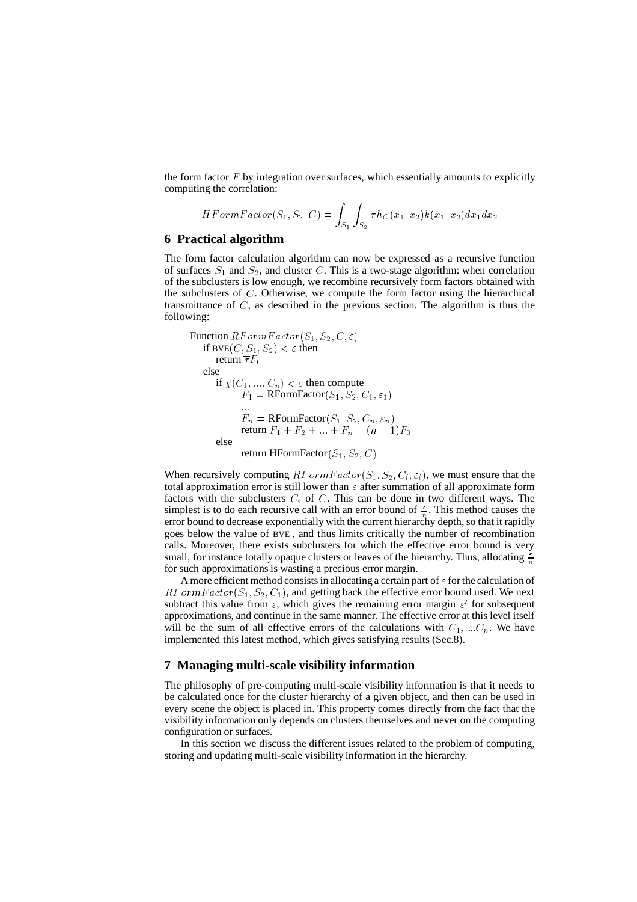the form factor  $F$  by integration over surfaces, which essentially amounts to explicitly computing the correlation:

$$
HFormFactor(S_1, S_2, C) = \int_{S_1} \int_{S_2} \tau h_C(x_1, x_2) k(x_1, x_2) dx_1 dx_2
$$

# **6 Practical algorithm**

The form factor calculation algorithm can now be expressed as a recursive function of surfaces  $S_1$  and  $S_2$ , and cluster C. This is a two-stage algorithm: when correlation of the subclusters is low enough, we recombine recursively form factors obtained with the subclusters of  $C$ . Otherwise, we compute the form factor using the hierarchical transmittance of <sup>C</sup>, as described in the previous section. The algorithm is thus the following:

```
Function RFormFactor(S_1, S_2, C, \varepsilon)if BVE(C, S_1, S_2) < \varepsilon then
return \overline{\tau}F_0else
 if \chi(C_1, ..., C_n) < \varepsilon then compute
         F_1 = \text{RFormFactor}(S_1, S_2, C_1, \varepsilon_1)F_n = \text{RFormFactor}(S_1, S_2, C_n, \varepsilon_n)return F_1 + F_2 + \ldots + F_n - (n-1)F_0else
        return HFormFactor(S_1, S_2, C)
```
When recursively computing  $RFormFactor(S_1, S_2, C_i, \varepsilon_i)$ , we must ensure that the total approximation error is still lower than  $\varepsilon$  after summation of all approximate form factors with the subclusters  $C_i$  of C. This can be done in two different ways. The simplest is to do each recursive call with an error bound of  $\frac{\varepsilon}{n}$ . This method causes the error bound to decrease exponentially with the current hierarchy depth, so that it rapidly goes below the value of BVE , and thus limits critically the number of recombination calls. Moreover, there exists subclusters for which the effective error bound is very small, for instance totally opaque clusters or leaves of the hierarchy. Thus, allocating  $\frac{1}{n}$ for such approximations is wasting a precious error margin.

A more efficient method consists in allocating a certain part of  $\varepsilon$  for the calculation of  $RFormFactor(S_1, S_2, C_1)$ , and getting back the effective error bound used. We next subtract this value from  $\varepsilon$ , which gives the remaining error margin  $\varepsilon'$  for subsequent approximations, and continue in the same manner. The effective error at this level itself will be the sum of all effective errors of the calculations with  $C_1$ , ..., $C_n$ . We have implemented this latest method, which gives satisfying results (Sec.8).

#### **7 Managing multi-scale visibility information**

The philosophy of pre-computing multi-scale visibility information is that it needs to be calculated once for the cluster hierarchy of a given object, and then can be used in every scene the object is placed in. This property comes directly from the fact that the visibility information only depends on clusters themselves and never on the computing configuration or surfaces.

In this section we discuss the different issues related to the problem of computing, storing and updating multi-scale visibility information in the hierarchy.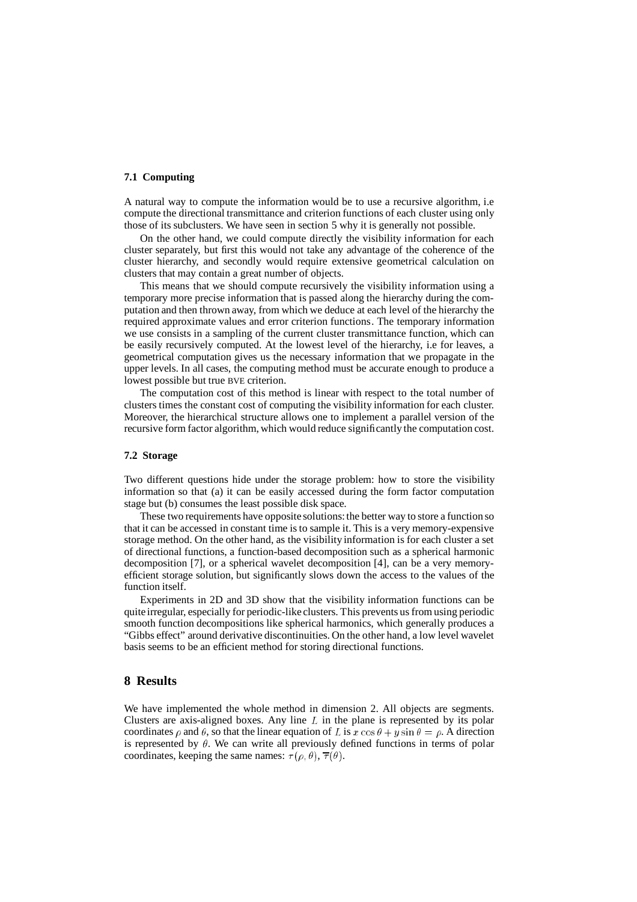#### **7.1 Computing**

A natural way to compute the information would be to use a recursive algorithm, i.e compute the directional transmittance and criterion functions of each cluster using only those of its subclusters. We have seen in section 5 why it is generally not possible.

On the other hand, we could compute directly the visibility information for each cluster separately, but first this would not take any advantage of the coherence of the cluster hierarchy, and secondly would require extensive geometrical calculation on clusters that may contain a great number of objects.

This means that we should compute recursively the visibility information using a temporary more precise information that is passed along the hierarchy during the computation and then thrown away, from which we deduce at each level of the hierarchy the required approximate values and error criterion functions. The temporary information we use consists in a sampling of the current cluster transmittance function, which can be easily recursively computed. At the lowest level of the hierarchy, i.e for leaves, a geometrical computation gives us the necessary information that we propagate in the upper levels. In all cases, the computing method must be accurate enough to produce a lowest possible but true BVE criterion.

The computation cost of this method is linear with respect to the total number of clusters times the constant cost of computing the visibility information for each cluster. Moreover, the hierarchical structure allows one to implement a parallel version of the recursive form factor algorithm, which would reduce significantly the computation cost.

#### **7.2 Storage**

Two different questions hide under the storage problem: how to store the visibility information so that (a) it can be easily accessed during the form factor computation stage but (b) consumes the least possible disk space.

These two requirements have opposite solutions: the better way to store a function so that it can be accessed in constant time is to sample it. This is a very memory-expensive storage method. On the other hand, as the visibility information is for each cluster a set of directional functions, a function-based decomposition such as a spherical harmonic decomposition [7], or a spherical wavelet decomposition [4], can be a very memoryefficient storage solution, but significantly slows down the access to the values of the function itself.

Experiments in 2D and 3D show that the visibility information functions can be quite irregular, especially for periodic-like clusters. This prevents us from using periodic smooth function decompositions like spherical harmonics, which generally produces a "Gibbs effect" around derivative discontinuities. On the other hand, a low level wavelet basis seems to be an efficient method for storing directional functions.

# **8 Results**

We have implemented the whole method in dimension 2. All objects are segments. Clusters are axis-aligned boxes. Any line  $L$  in the plane is represented by its polar coordinates  $\rho$  and  $\theta$ , so that the linear equation of L is  $x \cos \theta + y \sin \theta = \rho$ . A direction is represented by  $\theta$ . We can write all previously defined functions in terms of polar coordinates, keeping the same names:  $\tau(\rho, \theta), \overline{\tau}(\theta)$ .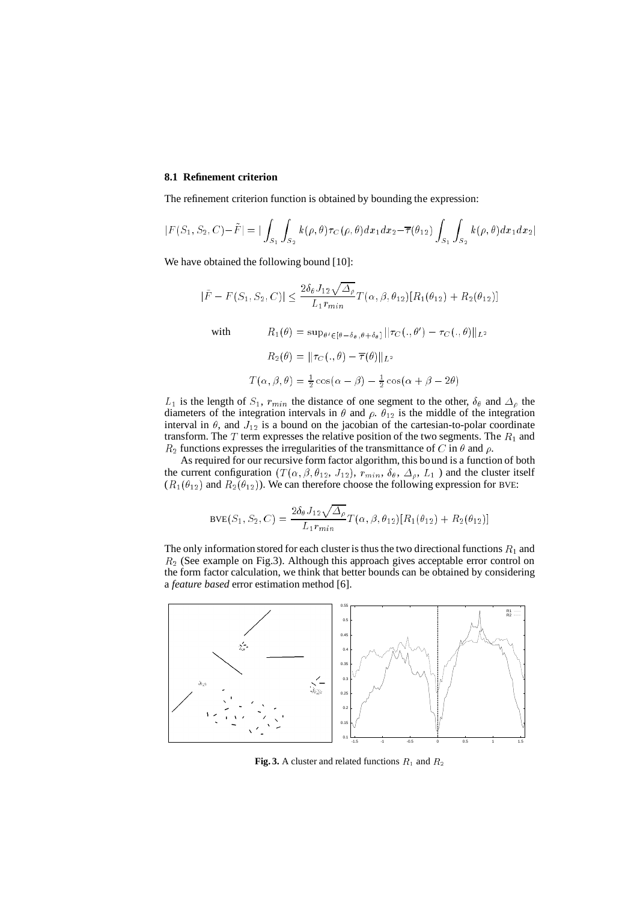#### **8.1 Refinement criterion**

The refinement criterion function is obtained by bounding the expression:

$$
|F(S_1,S_2,C)-\tilde{F}|=|\int_{S_1}\int_{S_2} k(\rho,\theta)\tau_C(\rho,\theta)dx_1dx_2-\overline{\tau}(\theta_{12})\int_{S_1}\int_{S_2} k(\rho,\theta)dx_1dx_2|
$$

We have obtained the following bound [10]:

$$
|\tilde{F} - F(S_1, S_2, C)| \le \frac{2\delta_{\theta} J_{12} \sqrt{\Delta_{\rho}}}{L_1 r_{min}} T(\alpha, \beta, \theta_{12}) [R_1(\theta_{12}) + R_2(\theta_{12})]
$$
  
with 
$$
R_1(\theta) = \sup_{\theta' \in [\theta - \delta_{\theta}, \theta + \delta_{\theta}]} ||\tau_C(., \theta') - \tau_C(., \theta)||_{L^2}
$$

$$
R_2(\theta) = ||\tau_C(., \theta) - \overline{\tau}(\theta)||_{L^2}
$$

$$
T(\alpha, \beta, \theta) = \frac{1}{2} \cos(\alpha - \beta) - \frac{1}{2} \cos(\alpha + \beta - 2\theta)
$$

 $L_1$  is the length of  $S_1$ ,  $r_{min}$  the distance of one segment to the other,  $\delta_{\theta}$  and  $\Delta_{\rho}$  the diameters of the integration intervals in  $\theta$  and  $\rho$ .  $\theta_{12}$  is the middle of the integration interval in  $\theta$ , and  $J_{12}$  is a bound on the jacobian of the cartesian-to-polar coordinate transform. The  $T$  term expresses the relative position of the two segments. The  $R_1$  and  $R_2$  functions expresses the irregularities of the transmittance of C in  $\theta$  and  $\rho$ .

As required for our recursive form factor algorithm, this bound is a function of both the current configuration  $(T(\alpha, \beta, \theta_{12}, J_{12}), r_{min}, \delta_{\theta}, \Delta_{\rho}, L_1)$  and the cluster itself  $(R_1(\theta_{12})$  and  $R_2(\theta_{12})$ ). We can therefore choose the following expression for BVE:

$$
BVE(S_1, S_2, C) = \frac{2\delta_{\theta} J_{12} \sqrt{\Delta_{\rho}}}{L_1 r_{min}} T(\alpha, \beta, \theta_{12}) [R_1(\theta_{12}) + R_2(\theta_{12})]
$$

The only information stored for each cluster is thus the two directional functions  $R_1$  and  $R<sub>2</sub>$  (See example on Fig.3). Although this approach gives acceptable error control on the form factor calculation, we think that better bounds can be obtained by considering a *feature based* error estimation method [6].



**Fig. 3.** A cluster and related functions  $R_1$  and  $R_2$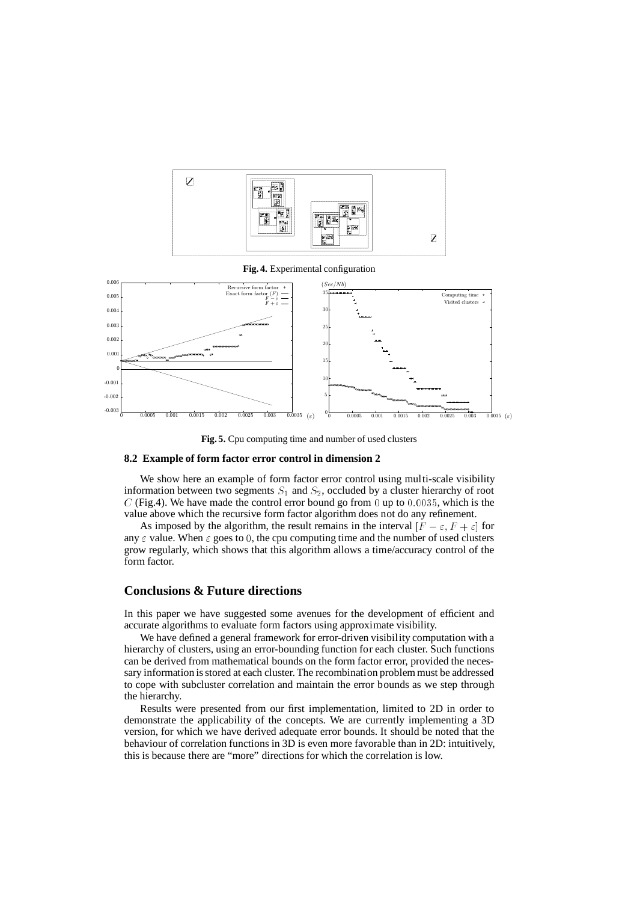

**Fig. 4.** Experimental configuration



**Fig. 5.** Cpu computing time and number of used clusters

#### **8.2 Example of form factor error control in dimension 2**

We show here an example of form factor error control using multi-scale visibility information between two segments  $S_1$  and  $S_2$ , occluded by a cluster hierarchy of root C (Fig.4). We have made the control error bound go from  $0 \text{ up to } 0.0035$ , which is the value above which the recursive form factor algorithm does not do any refinement.

As imposed by the algorithm, the result remains in the interval  $[F - \varepsilon, F + \varepsilon]$  for any  $\varepsilon$  value. When  $\varepsilon$  goes to 0, the cpu computing time and the number of used clusters grow regularly, which shows that this algorithm allows a time/accuracy control of the form factor.

# **Conclusions & Future directions**

In this paper we have suggested some avenues for the development of efficient and accurate algorithms to evaluate form factors using approximate visibility.

We have defined a general framework for error-driven visibility computation with a hierarchy of clusters, using an error-bounding function for each cluster. Such functions can be derived from mathematical bounds on the form factor error, provided the necessary information is stored at each cluster. The recombination problem must be addressed to cope with subcluster correlation and maintain the error bounds as we step through the hierarchy.

Results were presented from our first implementation, limited to 2D in order to demonstrate the applicability of the concepts. We are currently implementing a 3D version, for which we have derived adequate error bounds. It should be noted that the behaviour of correlation functions in 3D is even more favorable than in 2D: intuitively, this is because there are "more" directions for which the correlation is low.